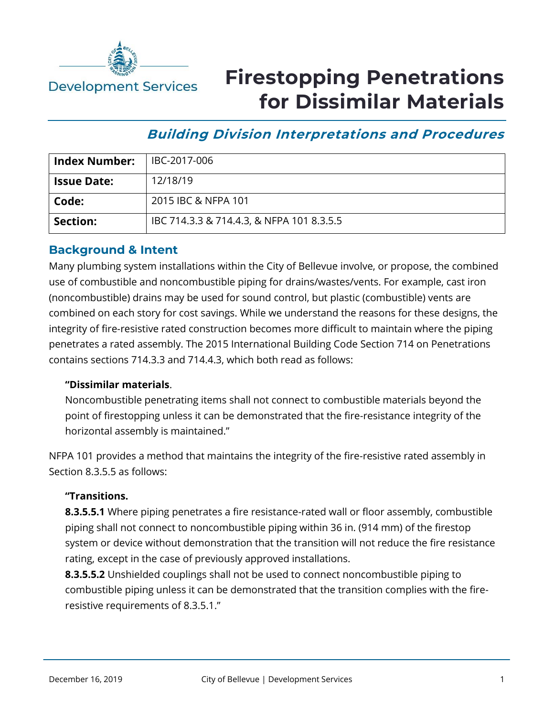

# **Firestopping Penetrations for Dissimilar Materials**

# **Building Division Interpretations and Procedures**

| <b>Index Number:</b> | IBC-2017-006                              |
|----------------------|-------------------------------------------|
| <b>Issue Date:</b>   | 12/18/19                                  |
| Code:                | 2015 IBC & NFPA 101                       |
| Section:             | IBC 714.3.3 & 714.4.3, & NFPA 101 8.3.5.5 |

### **Background & Intent**

Many plumbing system installations within the City of Bellevue involve, or propose, the combined use of combustible and noncombustible piping for drains/wastes/vents. For example, cast iron (noncombustible) drains may be used for sound control, but plastic (combustible) vents are combined on each story for cost savings. While we understand the reasons for these designs, the integrity of fire-resistive rated construction becomes more difficult to maintain where the piping penetrates a rated assembly. The 2015 International Building Code Section 714 on Penetrations contains sections 714.3.3 and 714.4.3, which both read as follows:

### **"Dissimilar materials**.

Noncombustible penetrating items shall not connect to combustible materials beyond the point of firestopping unless it can be demonstrated that the fire-resistance integrity of the horizontal assembly is maintained."

NFPA 101 provides a method that maintains the integrity of the fire-resistive rated assembly in Section 8.3.5.5 as follows:

### **"Transitions.**

**8.3.5.5.1** Where piping penetrates a fire resistance-rated wall or floor assembly, combustible piping shall not connect to noncombustible piping within 36 in. (914 mm) of the firestop system or device without demonstration that the transition will not reduce the fire resistance rating, except in the case of previously approved installations.

**8.3.5.5.2** Unshielded couplings shall not be used to connect noncombustible piping to combustible piping unless it can be demonstrated that the transition complies with the fireresistive requirements of 8.3.5.1."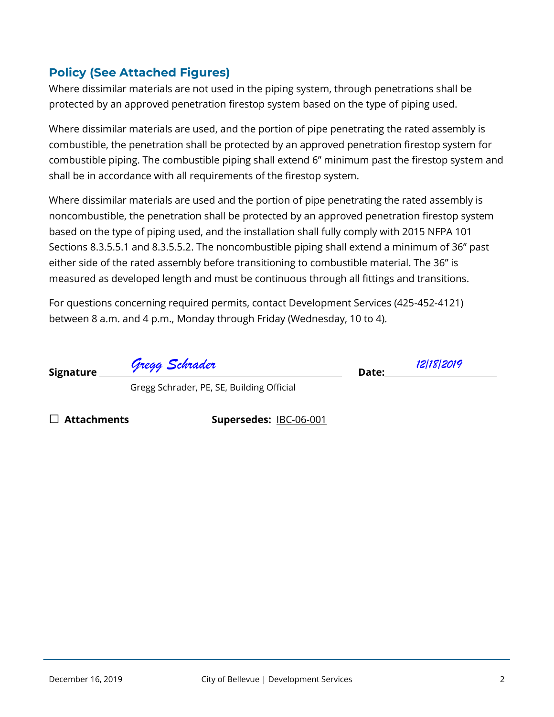## **Policy (See Attached Figures)**

Where dissimilar materials are not used in the piping system, through penetrations shall be protected by an approved penetration firestop system based on the type of piping used.

Where dissimilar materials are used, and the portion of pipe penetrating the rated assembly is combustible, the penetration shall be protected by an approved penetration firestop system for combustible piping. The combustible piping shall extend 6" minimum past the firestop system and shall be in accordance with all requirements of the firestop system.

Where dissimilar materials are used and the portion of pipe penetrating the rated assembly is noncombustible, the penetration shall be protected by an approved penetration firestop system based on the type of piping used, and the installation shall fully comply with 2015 NFPA 101 Sections 8.3.5.5.1 and 8.3.5.5.2. The noncombustible piping shall extend a minimum of 36" past either side of the rated assembly before transitioning to combustible material. The 36" is measured as developed length and must be continuous through all fittings and transitions.

For questions concerning required permits, contact Development Services (425-452-4121) between 8 a.m. and 4 p.m., Monday through Friday (Wednesday, 10 to 4).

Signature **Date:** Date: *Gregg Schrader 12/18/2019*

Gregg Schrader, PE, SE, Building Official

□ **Attachments Supersedes:** IBC-06-001